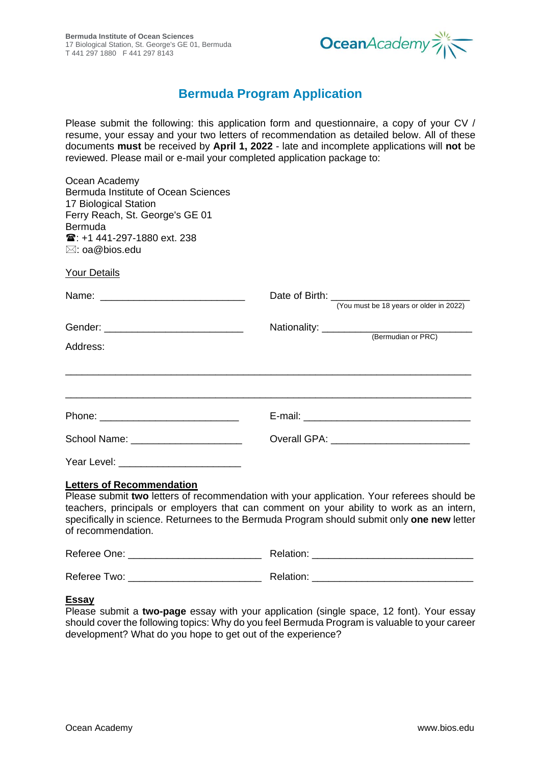

## **Bermuda Program Application**

Please submit the following: this application form and questionnaire, a copy of your CV / resume, your essay and your two letters of recommendation as detailed below. All of these documents **must** be received by **April 1, 2022** - late and incomplete applications will **not** be reviewed. Please mail or e-mail your completed application package to:

| Ocean Academy<br>Bermuda Institute of Ocean Sciences<br>17 Biological Station<br>Ferry Reach, St. George's GE 01<br><b>Bermuda</b><br><b>■: +1 441-297-1880 ext. 238</b><br>$\boxtimes$ : oa@bios.edu                                                                                            |                                         |
|--------------------------------------------------------------------------------------------------------------------------------------------------------------------------------------------------------------------------------------------------------------------------------------------------|-----------------------------------------|
| <b>Your Details</b>                                                                                                                                                                                                                                                                              |                                         |
|                                                                                                                                                                                                                                                                                                  | (You must be 18 years or older in 2022) |
|                                                                                                                                                                                                                                                                                                  |                                         |
| Address:                                                                                                                                                                                                                                                                                         | (Bermudian or PRC)                      |
| Phone: ________________________________                                                                                                                                                                                                                                                          |                                         |
| School Name: ______________________                                                                                                                                                                                                                                                              |                                         |
|                                                                                                                                                                                                                                                                                                  |                                         |
| $\mathbf{r}$ and $\mathbf{r}$ and $\mathbf{r}$ and $\mathbf{r}$ and $\mathbf{r}$ and $\mathbf{r}$ and $\mathbf{r}$ and $\mathbf{r}$ and $\mathbf{r}$ and $\mathbf{r}$ and $\mathbf{r}$ and $\mathbf{r}$ and $\mathbf{r}$ and $\mathbf{r}$ and $\mathbf{r}$ and $\mathbf{r}$ and $\mathbf{r}$ and |                                         |

## **Letters of Recommendation**

Please submit **two** letters of recommendation with your application. Your referees should be teachers, principals or employers that can comment on your ability to work as an intern, specifically in science. Returnees to the Bermuda Program should submit only **one new** letter of recommendation.

| Referee One: | Relation:        |
|--------------|------------------|
|              |                  |
| Referee Two: | <b>Relation:</b> |

## **Essay**

Please submit a **two-page** essay with your application (single space, 12 font). Your essay should cover the following topics: Why do you feel Bermuda Program is valuable to your career development? What do you hope to get out of the experience?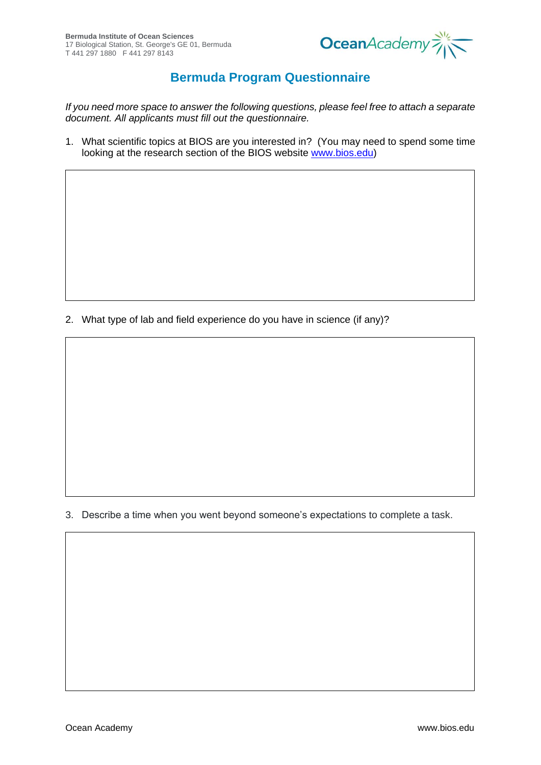

## **Bermuda Program Questionnaire**

*If you need more space to answer the following questions, please feel free to attach a separate document. All applicants must fill out the questionnaire.*

1. What scientific topics at BIOS are you interested in? (You may need to spend some time looking at the research section of the BIOS website [www.bios.edu\)](http://www.bios.edu/)

2. What type of lab and field experience do you have in science (if any)?

3. What do you enjoy about working in the field and/or lab environments?

3. Describe a time when you went beyond someone's expectations to complete a task.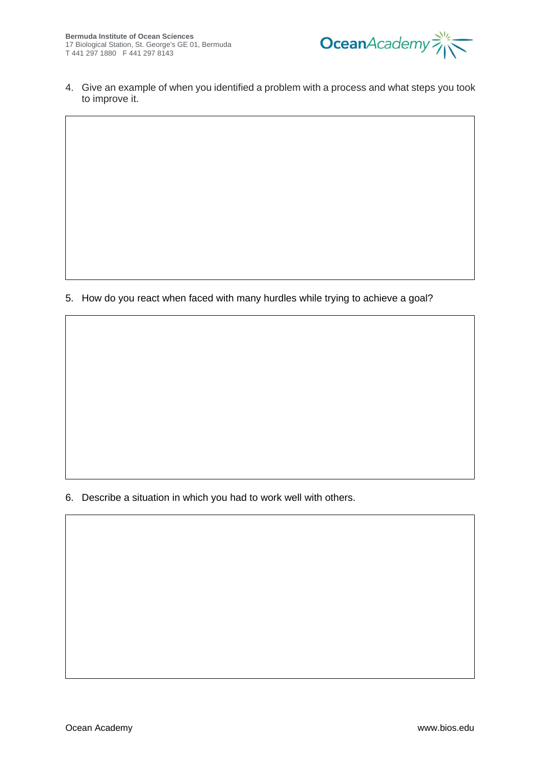

4. Give an example of when you identified a problem with a process and what steps you took to improve it.

5. How do you react when faced with many hurdles while trying to achieve a goal?

6. Describe a situation in which you had to work well with others.